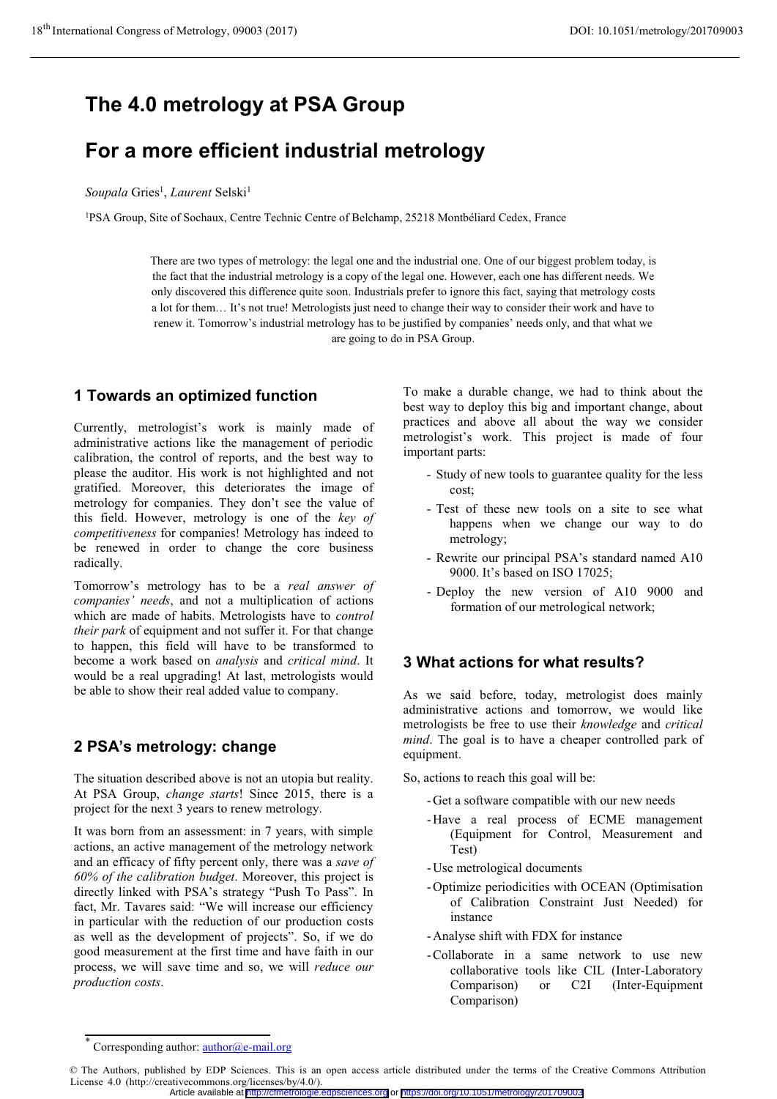# **The 4.0 metrology at PSA Group**

# **For a more efficient industrial metrology**

#### $$

1PSA Group, Site of Sochaux, Centre Technic Centre of Belchamp, 25218 Montbéliard Cedex, France

There are two types of metrology: the legal one and the industrial one. One of our biggest problem today, is the fact that the industrial metrology is a copy of the legal one. However, each one has different needs. We only discovered this difference quite soon. Industrials prefer to ignore this fact, saying that metrology costs a lot for them… It's not true! Metrologists just need to change their way to consider their work and have to renew it. Tomorrow's industrial metrology has to be justified by companies' needs only, and that what we are going to do in PSA Group.

## **1 Towards an optimized function**

Currently, metrologist's work is mainly made of administrative actions like the management of periodic calibration, the control of reports, and the best way to please the auditor. His work is not highlighted and not gratified. Moreover, this deteriorates the image of metrology for companies. They don't see the value of this field. However, metrology is one of the *key of competitiveness* for companies! Metrology has indeed to be renewed in order to change the core business radically.

Tomorrow's metrology has to be a *real answer of companies' needs*, and not a multiplication of actions which are made of habits. Metrologists have to *control their park* of equipment and not suffer it. For that change to happen, this field will have to be transformed to become a work based on *analysis* and *critical mind*. It would be a real upgrading! At last, metrologists would be able to show their real added value to company.

# **2 PSA's metrology: change**

The situation described above is not an utopia but reality. At PSA Group, *change starts*! Since 2015, there is a project for the next 3 years to renew metrology.

It was born from an assessment: in 7 years, with simple actions, an active management of the metrology network and an efficacy of fifty percent only, there was a *save of 60% of the calibration budget*. Moreover, this project is directly linked with PSA's strategy "Push To Pass". In fact, Mr. Tavares said: "We will increase our efficiency in particular with the reduction of our production costs as well as the development of projects". So, if we do good measurement at the first time and have faith in our process, we will save time and so, we will *reduce our production costs*.

To make a durable change, we had to think about the best way to deploy this big and important change, about practices and above all about the way we consider metrologist's work. This project is made of four important parts:

- Study of new tools to guarantee quality for the less cost;
- Test of these new tools on a site to see what happens when we change our way to do metrology;
- Rewrite our principal PSA's standard named A10 9000. It's based on ISO 17025;
- Deploy the new version of A10 9000 and formation of our metrological network;

## **3 What actions for what results?**

As we said before, today, metrologist does mainly administrative actions and tomorrow, we would like metrologists be free to use their *knowledge* and *critical mind*. The goal is to have a cheaper controlled park of equipment.

So, actions to reach this goal will be:

- -Get a software compatible with our new needs
- -Have a real process of ECME management (Equipment for Control, Measurement and Test)
- -Use metrological documents
- -Optimize periodicities with OCEAN (Optimisation of Calibration Constraint Just Needed) for instance
- -Analyse shift with FDX for instance
- -Collaborate in a same network to use new collaborative tools like CIL (Inter-Laboratory Comparison) or C2I (Inter-Equipment Comparison)

<sup>\*</sup> Corresponding author: author@e-mail.org

<sup>©</sup> The Authors, published by EDP Sciences. This is an open access article distributed under the terms of the Creative Commons Attribution License 4.0 (http://creativecommons.org/licenses/by/4.0/).

Article available at <http://cfmetrologie.edpsciences.org> or <https://doi.org/10.1051/metrology/201709003>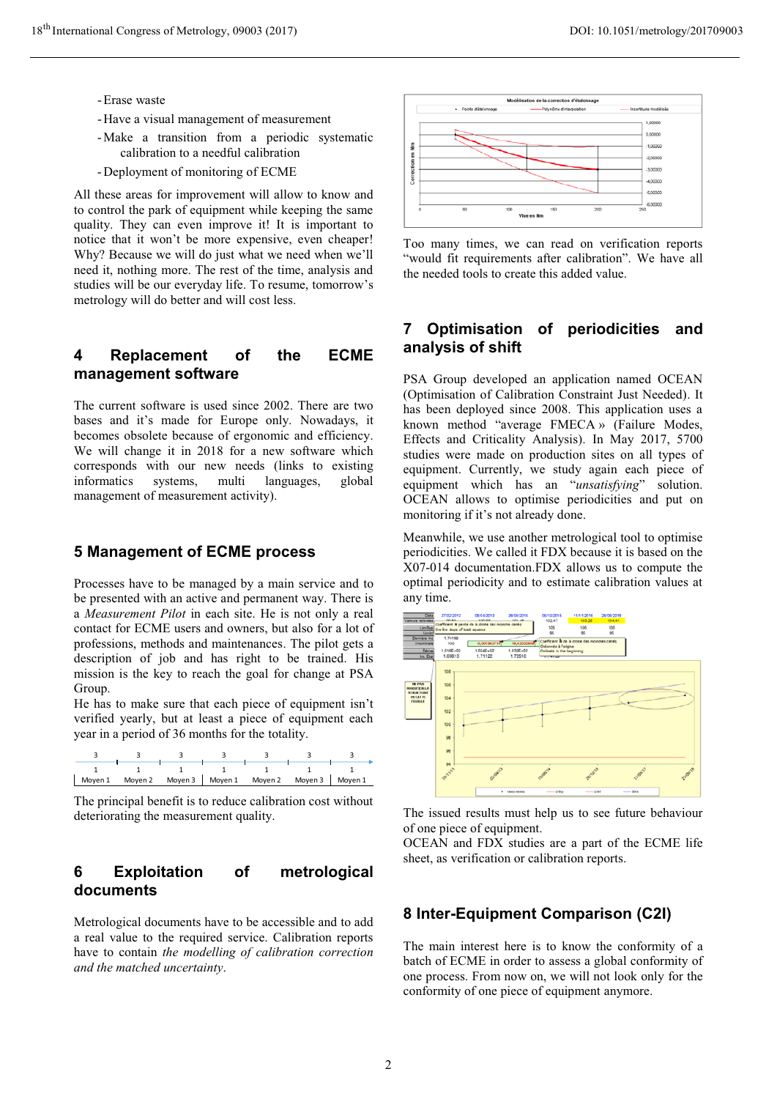- Erase waste
- Have a visual management of measurement
- Make a transition from a periodic systematic calibration to a needful calibration
- Deployment of monitoring of ECME

All these areas for improvement will allow to know and to control the park of equipment while keeping the same quality. They can even improve it! It is important to notice that it won't be more expensive, even cheaper! Why? Because we will do just what we need when we'll need it, nothing more. The rest of the time, analysis and studies will be our everyday life. To resume, tomorrow's metrology will do better and will cost less.

## **4 Replacement of the ECME management software**

The current software is used since 2002. There are two bases and it's made for Europe only. Nowadays, it becomes obsolete because of ergonomic and efficiency. We will change it in 2018 for a new software which corresponds with our new needs (links to existing informatics systems, multi languages, global management of measurement activity).

#### **5 Management of ECME process**

Processes have to be managed by a main service and to be presented with an active and permanent way. There is a *Measurement Pilot* in each site. He is not only a real contact for ECME users and owners, but also for a lot of professions, methods and maintenances. The pilot gets a description of job and has right to be trained. His mission is the key to reach the goal for change at PSA Group.

He has to make sure that each piece of equipment isn't verified yearly, but at least a piece of equipment each year in a period of 36 months for the totality.



The principal benefit is to reduce calibration cost without deteriorating the measurement quality.

## **6 Exploitation of metrological documents**

Metrological documents have to be accessible and to add a real value to the required service. Calibration reports have to contain *the modelling of calibration correction and the matched uncertainty*.



Too many times, we can read on verification reports "would fit requirements after calibration". We have all the needed tools to create this added value.

## **7 Optimisation of periodicities and analysis of shift**

PSA Group developed an application named OCEAN (Optimisation of Calibration Constraint Just Needed). It has been deployed since 2008. This application uses a known method "average FMECA » (Failure Modes, Effects and Criticality Analysis). In May 2017, 5700 studies were made on production sites on all types of equipment. Currently, we study again each piece of equipment which has an "*unsatisfying*" solution. OCEAN allows to optimise periodicities and put on monitoring if it's not already done.

Meanwhile, we use another metrological tool to optimise periodicities. We called it FDX because it is based on the X07-014 documentation.FDX allows us to compute the optimal periodicity and to estimate calibration values at any time.



The issued results must help us to see future behaviour of one piece of equipment.

OCEAN and FDX studies are a part of the ECME life sheet, as verification or calibration reports.

# **8 Inter-Equipment Comparison (C2I)**

The main interest here is to know the conformity of a batch of ECME in order to assess a global conformity of one process. From now on, we will not look only for the conformity of one piece of equipment anymore.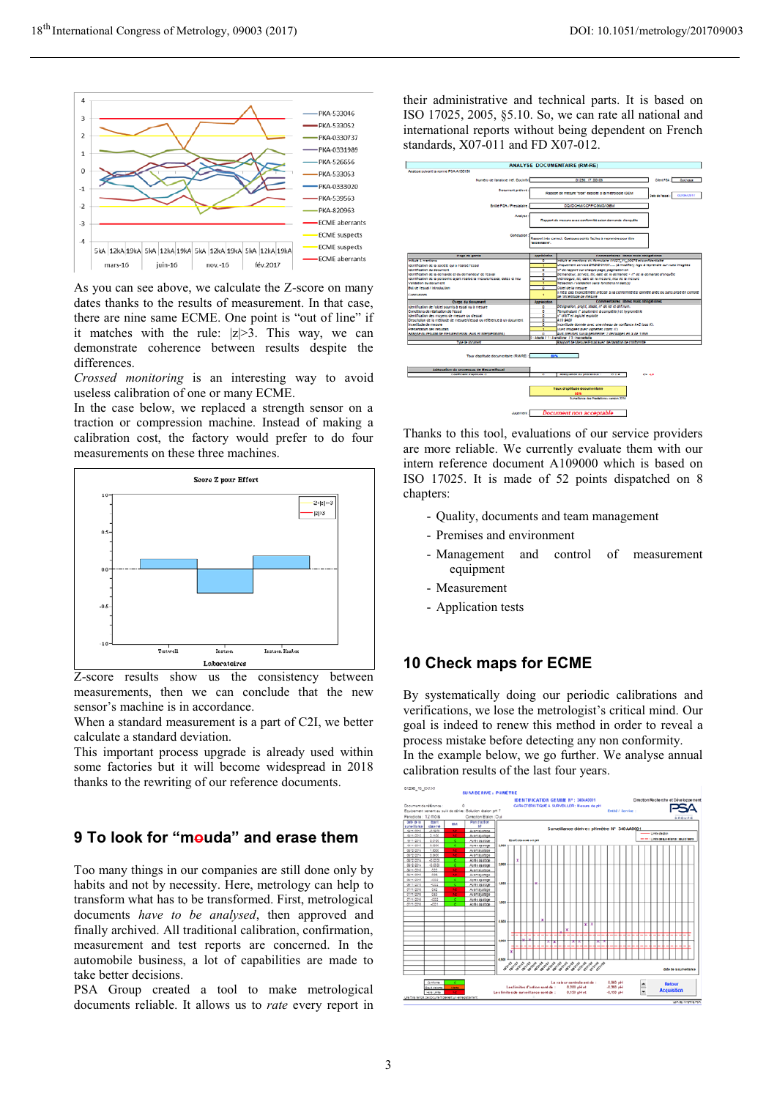

As you can see above, we calculate the Z-score on many dates thanks to the results of measurement. In that case, there are nine same ECME. One point is "out of line" if it matches with the rule:  $|z| > 3$ . This way, we can demonstrate coherence between results despite the differences.

*Crossed monitoring* is an interesting way to avoid useless calibration of one or many ECME.

In the case below, we replaced a strength sensor on a traction or compression machine. Instead of making a calibration cost, the factory would prefer to do four measurements on these three machines.



Z-score results show us the consistency between measurements, then we can conclude that the new sensor's machine is in accordance.

When a standard measurement is a part of C2I, we better calculate a standard deviation.

This important process upgrade is already used within some factories but it will become widespread in 2018 thanks to the rewriting of our reference documents.

# **9 To look for "mouda" and erase them**

Too many things in our companies are still done only by habits and not by necessity. Here, metrology can help to transform what has to be transformed. First, metrological documents *have to be analysed*, then approved and finally archived. All traditional calibration, confirmation, measurement and test reports are concerned. In the automobile business, a lot of capabilities are made to take better decisions.

PSA Group created a tool to make metrological documents reliable. It allows us to *rate* every report in

their administrative and technical parts. It is based on ISO 17025, 2005, §5.10. So, we can rate all national and international reports without being dependent on French standards, X07-011 and FD X07-012.



Thanks to this tool, evaluations of our service providers are more reliable. We currently evaluate them with our intern reference document A109000 which is based on ISO 17025. It is made of 52 points dispatched on 8 chapters:

- Quality, documents and team management
- Premises and environment
- Management and control of measurement equipment
- Measurement
- Application tests

#### **10 Check maps for ECME**

By systematically doing our periodic calibrations and verifications, we lose the metrologist's critical mind. Our goal is indeed to renew this method in order to reveal a process mistake before detecting any non conformity. In the example below, we go further. We analyse annual